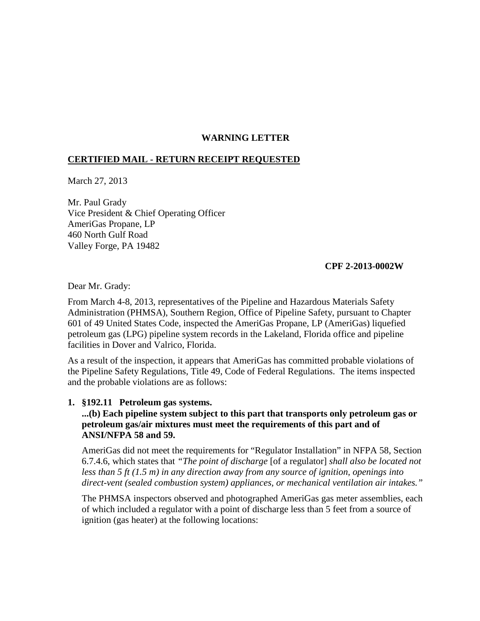# **WARNING LETTER**

## **CERTIFIED MAIL - RETURN RECEIPT REQUESTED**

March 27, 2013

Mr. Paul Grady Vice President & Chief Operating Officer AmeriGas Propane, LP 460 North Gulf Road Valley Forge, PA 19482

#### **CPF 2-2013-0002W**

Dear Mr. Grady:

From March 4-8, 2013, representatives of the Pipeline and Hazardous Materials Safety Administration (PHMSA), Southern Region, Office of Pipeline Safety, pursuant to Chapter 601 of 49 United States Code, inspected the AmeriGas Propane, LP (AmeriGas) liquefied petroleum gas (LPG) pipeline system records in the Lakeland, Florida office and pipeline facilities in Dover and Valrico, Florida.

As a result of the inspection, it appears that AmeriGas has committed probable violations of the Pipeline Safety Regulations, Title 49, Code of Federal Regulations. The items inspected and the probable violations are as follows:

#### **1. §192.11 Petroleum gas systems.**

## **...(b) Each pipeline system subject to this part that transports only petroleum gas or petroleum gas/air mixtures must meet the requirements of this part and of ANSI/NFPA 58 and 59.**

AmeriGas did not meet the requirements for "Regulator Installation" in NFPA 58, Section 6.7.4.6, which states that *"The point of discharge* [of a regulator] *shall also be located not less than 5 ft (1.5 m) in any direction away from any source of ignition, openings into direct-vent (sealed combustion system) appliances, or mechanical ventilation air intakes."* 

The PHMSA inspectors observed and photographed AmeriGas gas meter assemblies, each of which included a regulator with a point of discharge less than 5 feet from a source of ignition (gas heater) at the following locations: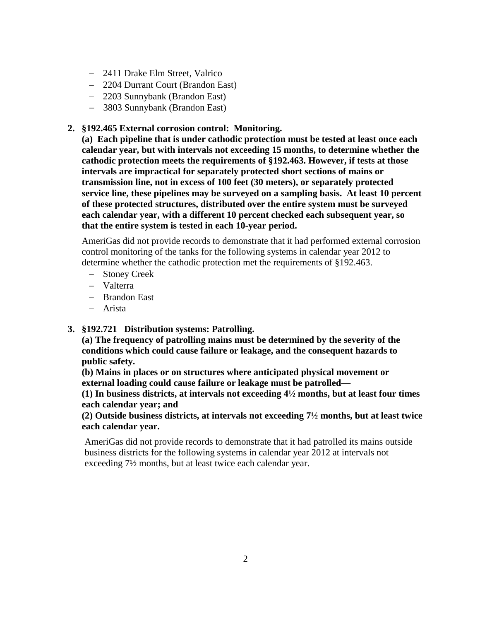- − 2411 Drake Elm Street, Valrico
- − 2204 Durrant Court (Brandon East)
- − 2203 Sunnybank (Brandon East)
- − 3803 Sunnybank (Brandon East)
- **2. §192.465 External corrosion control: Monitoring.**

**(a) Each pipeline that is under cathodic protection must be tested at least once each calendar year, but with intervals not exceeding 15 months, to determine whether the cathodic protection meets the requirements of §192.463. However, if tests at those intervals are impractical for separately protected short sections of mains or transmission line, not in excess of 100 feet (30 meters), or separately protected service line, these pipelines may be surveyed on a sampling basis. At least 10 percent of these protected structures, distributed over the entire system must be surveyed each calendar year, with a different 10 percent checked each subsequent year, so that the entire system is tested in each 10-year period.**

AmeriGas did not provide records to demonstrate that it had performed external corrosion control monitoring of the tanks for the following systems in calendar year 2012 to determine whether the cathodic protection met the requirements of §192.463.

- − Stoney Creek
- − Valterra
- − Brandon East
- − Arista
- **3. §192.721 Distribution systems: Patrolling.**

**(a) The frequency of patrolling mains must be determined by the severity of the conditions which could cause failure or leakage, and the consequent hazards to public safety.**

**(b) Mains in places or on structures where anticipated physical movement or external loading could cause failure or leakage must be patrolled—** 

**(1) In business districts, at intervals not exceeding 4½ months, but at least four times each calendar year; and**

**(2) Outside business districts, at intervals not exceeding 7½ months, but at least twice each calendar year.**

AmeriGas did not provide records to demonstrate that it had patrolled its mains outside business districts for the following systems in calendar year 2012 at intervals not exceeding 7½ months, but at least twice each calendar year.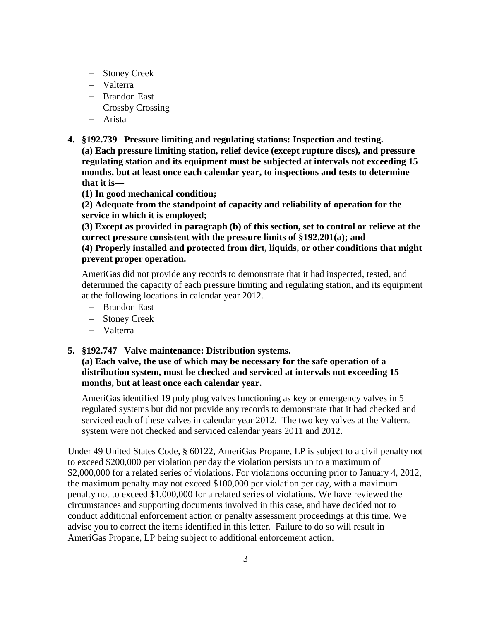- − Stoney Creek
- − Valterra
- − Brandon East
- − Crossby Crossing
- − Arista
- **4. §192.739 Pressure limiting and regulating stations: Inspection and testing. (a) Each pressure limiting station, relief device (except rupture discs), and pressure regulating station and its equipment must be subjected at intervals not exceeding 15 months, but at least once each calendar year, to inspections and tests to determine that it is—** 
	- **(1) In good mechanical condition;**

**(2) Adequate from the standpoint of capacity and reliability of operation for the service in which it is employed;**

**(3) Except as provided in paragraph (b) of this section, set to control or relieve at the correct pressure consistent with the pressure limits of §192.201(a); and (4) Properly installed and protected from dirt, liquids, or other conditions that might prevent proper operation.**

AmeriGas did not provide any records to demonstrate that it had inspected, tested, and determined the capacity of each pressure limiting and regulating station, and its equipment at the following locations in calendar year 2012.

- − Brandon East
- − Stoney Creek
- − Valterra

**5. §192.747 Valve maintenance: Distribution systems.**

**(a) Each valve, the use of which may be necessary for the safe operation of a distribution system, must be checked and serviced at intervals not exceeding 15 months, but at least once each calendar year.**

AmeriGas identified 19 poly plug valves functioning as key or emergency valves in 5 regulated systems but did not provide any records to demonstrate that it had checked and serviced each of these valves in calendar year 2012. The two key valves at the Valterra system were not checked and serviced calendar years 2011 and 2012.

Under 49 United States Code, § 60122, AmeriGas Propane, LP is subject to a civil penalty not to exceed \$200,000 per violation per day the violation persists up to a maximum of \$2,000,000 for a related series of violations. For violations occurring prior to January 4, 2012, the maximum penalty may not exceed \$100,000 per violation per day, with a maximum penalty not to exceed \$1,000,000 for a related series of violations. We have reviewed the circumstances and supporting documents involved in this case, and have decided not to conduct additional enforcement action or penalty assessment proceedings at this time. We advise you to correct the items identified in this letter. Failure to do so will result in AmeriGas Propane, LP being subject to additional enforcement action.